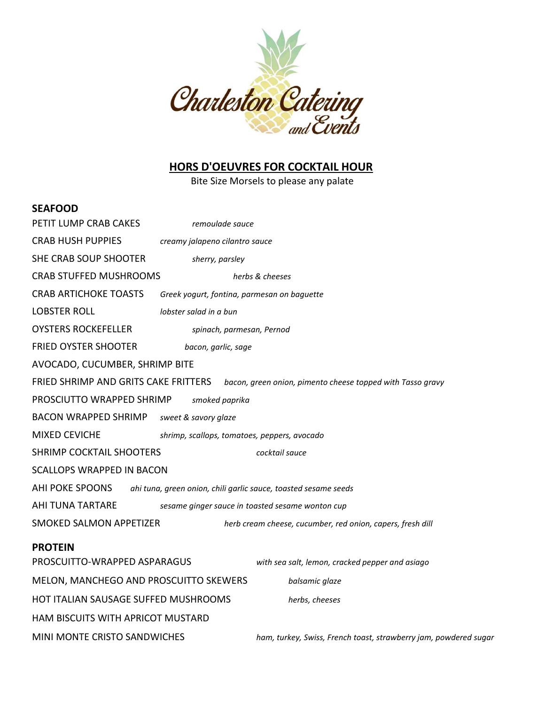

## **HORS D'OEUVRES FOR COCKTAIL HOUR**

Bite Size Morsels to please any palate

#### **SEAFOOD**

| PETIT LUMP CRAB CAKES                                                                                     | remoulade sauce                                                 |  |
|-----------------------------------------------------------------------------------------------------------|-----------------------------------------------------------------|--|
| <b>CRAB HUSH PUPPIES</b>                                                                                  | creamy jalapeno cilantro sauce                                  |  |
| SHE CRAB SOUP SHOOTER                                                                                     | sherry, parsley                                                 |  |
| <b>CRAB STUFFED MUSHROOMS</b>                                                                             | herbs & cheeses                                                 |  |
| <b>CRAB ARTICHOKE TOASTS</b>                                                                              | Greek yogurt, fontina, parmesan on baguette                     |  |
| <b>LOBSTER ROLL</b>                                                                                       | lobster salad in a bun                                          |  |
| <b>OYSTERS ROCKEFELLER</b>                                                                                | spinach, parmesan, Pernod                                       |  |
| <b>FRIED OYSTER SHOOTER</b>                                                                               | bacon, garlic, sage                                             |  |
| AVOCADO, CUCUMBER, SHRIMP BITE                                                                            |                                                                 |  |
| <b>FRIED SHRIMP AND GRITS CAKE FRITTERS</b><br>bacon, green onion, pimento cheese topped with Tasso gravy |                                                                 |  |
| PROSCIUTTO WRAPPED SHRIMP<br>smoked paprika                                                               |                                                                 |  |
| <b>BACON WRAPPED SHRIMP</b>                                                                               | sweet & savory glaze                                            |  |
| <b>MIXED CEVICHE</b>                                                                                      | shrimp, scallops, tomatoes, peppers, avocado                    |  |
| <b>SHRIMP COCKTAIL SHOOTERS</b><br>cocktail sauce                                                         |                                                                 |  |
| <b>SCALLOPS WRAPPED IN BACON</b>                                                                          |                                                                 |  |
| AHI POKE SPOONS                                                                                           | ahi tuna, green onion, chili garlic sauce, toasted sesame seeds |  |
| AHI TUNA TARTARE<br>sesame ginger sauce in toasted sesame wonton cup                                      |                                                                 |  |
| <b>SMOKED SALMON APPETIZER</b>                                                                            | herb cream cheese, cucumber, red onion, capers, fresh dill      |  |
| <b>PROTEIN</b>                                                                                            |                                                                 |  |
| PROSCUITTO-WRAPPED ASPARAGUS                                                                              | with sea salt, lemon, cracked pepper and asiago                 |  |
| MELON, MANCHEGO AND PROSCUITTO SKEWERS                                                                    | balsamic glaze                                                  |  |
| HOT ITALIAN SAUSAGE SUFFED MUSHROOMS                                                                      | herbs, cheeses                                                  |  |
| HAM BISCUITS WITH APRICOT MUSTARD                                                                         |                                                                 |  |

MINI MONTE CRISTO SANDWICHES *ham, turkey, Swiss, French toast, strawberry jam, powdered sugar*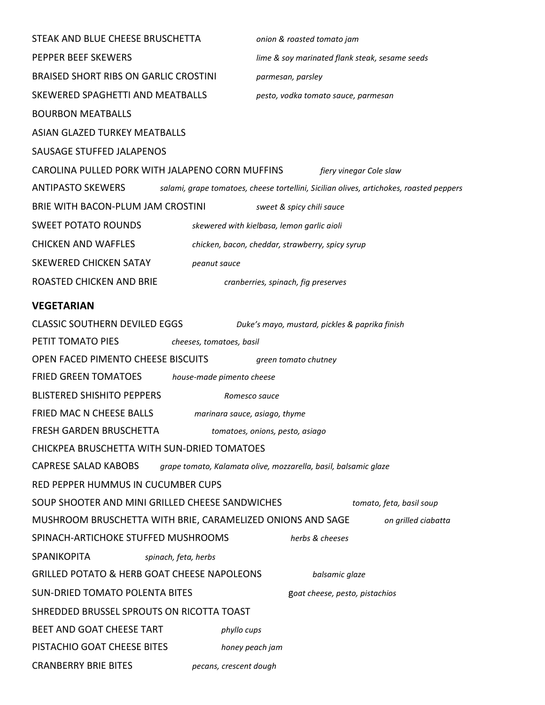| STEAK AND BLUE CHEESE BRUSCHETTA                                           | onion & roasted tomato jam                                                              |  |  |
|----------------------------------------------------------------------------|-----------------------------------------------------------------------------------------|--|--|
| PEPPER BEEF SKEWERS                                                        | lime & soy marinated flank steak, sesame seeds                                          |  |  |
| <b>BRAISED SHORT RIBS ON GARLIC CROSTINI</b>                               | parmesan, parsley                                                                       |  |  |
| SKEWERED SPAGHETTI AND MEATBALLS                                           | pesto, vodka tomato sauce, parmesan                                                     |  |  |
| <b>BOURBON MEATBALLS</b>                                                   |                                                                                         |  |  |
| <b>ASIAN GLAZED TURKEY MEATBALLS</b>                                       |                                                                                         |  |  |
| SAUSAGE STUFFED JALAPENOS                                                  |                                                                                         |  |  |
| CAROLINA PULLED PORK WITH JALAPENO CORN MUFFINS<br>fiery vinegar Cole slaw |                                                                                         |  |  |
| ANTIPASTO SKEWERS                                                          | salami, grape tomatoes, cheese tortellini, Sicilian olives, artichokes, roasted peppers |  |  |
| BRIE WITH BACON-PLUM JAM CROSTINI<br>sweet & spicy chili sauce             |                                                                                         |  |  |
| <b>SWEET POTATO ROUNDS</b>                                                 | skewered with kielbasa, lemon garlic aioli                                              |  |  |
| <b>CHICKEN AND WAFFLES</b>                                                 | chicken, bacon, cheddar, strawberry, spicy syrup                                        |  |  |
| <b>SKEWERED CHICKEN SATAY</b><br>peanut sauce                              |                                                                                         |  |  |
| ROASTED CHICKEN AND BRIE                                                   | cranberries, spinach, fig preserves                                                     |  |  |
| <b>VEGETARIAN</b>                                                          |                                                                                         |  |  |
| <b>CLASSIC SOUTHERN DEVILED EGGS</b>                                       | Duke's mayo, mustard, pickles & paprika finish                                          |  |  |
| PETIT TOMATO PIES<br>cheeses, tomatoes, basil                              |                                                                                         |  |  |
| OPEN FACED PIMENTO CHEESE BISCUITS                                         | green tomato chutney                                                                    |  |  |
| <b>FRIED GREEN TOMATOES</b><br>house-made pimento cheese                   |                                                                                         |  |  |
| <b>BLISTERED SHISHITO PEPPERS</b>                                          | Romesco sauce                                                                           |  |  |
| FRIED MAC N CHEESE BALLS                                                   | marinara sauce, asiago, thyme                                                           |  |  |
| FRESH GARDEN BRUSCHETTA<br>tomatoes, onions, pesto, asiago                 |                                                                                         |  |  |
| CHICKPEA BRUSCHETTA WITH SUN-DRIED TOMATOES                                |                                                                                         |  |  |
| <b>CAPRESE SALAD KABOBS</b>                                                | grape tomato, Kalamata olive, mozzarella, basil, balsamic glaze                         |  |  |
| RED PEPPER HUMMUS IN CUCUMBER CUPS                                         |                                                                                         |  |  |
| SOUP SHOOTER AND MINI GRILLED CHEESE SANDWICHES                            | tomato, feta, basil soup                                                                |  |  |
| MUSHROOM BRUSCHETTA WITH BRIE, CARAMELIZED ONIONS AND SAGE                 | on grilled ciabatta                                                                     |  |  |
| SPINACH-ARTICHOKE STUFFED MUSHROOMS                                        | herbs & cheeses                                                                         |  |  |
| SPANIKOPITA<br>spinach, feta, herbs                                        |                                                                                         |  |  |
| <b>GRILLED POTATO &amp; HERB GOAT CHEESE NAPOLEONS</b>                     | balsamic glaze                                                                          |  |  |
| <b>SUN-DRIED TOMATO POLENTA BITES</b>                                      | goat cheese, pesto, pistachios                                                          |  |  |
| SHREDDED BRUSSEL SPROUTS ON RICOTTA TOAST                                  |                                                                                         |  |  |
| BEET AND GOAT CHEESE TART                                                  | phyllo cups                                                                             |  |  |
| PISTACHIO GOAT CHEESE BITES                                                | honey peach jam                                                                         |  |  |
| <b>CRANBERRY BRIE BITES</b>                                                | pecans, crescent dough                                                                  |  |  |